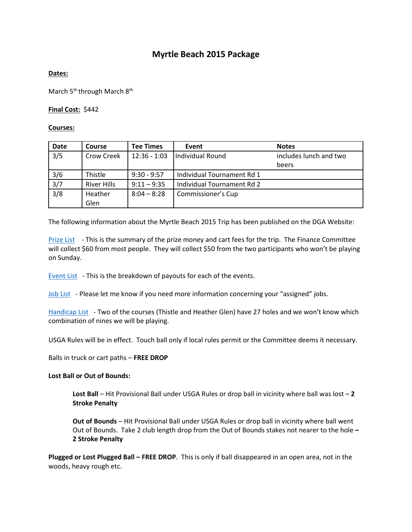# **Myrtle Beach 2015 Package**

## **Dates:**

March 5<sup>th</sup> through March 8<sup>th</sup>

### **Final Cost:** \$442

#### **Courses:**

| Date          | Course             | <b>Tee Times</b> | Event                      | <b>Notes</b>                    |
|---------------|--------------------|------------------|----------------------------|---------------------------------|
| 3/5           | Crow Creek         | $12:36 - 1:03$   | Individual Round           | includes lunch and two<br>beers |
| 3/6           | Thistle            | $9:30 - 9:57$    | Individual Tournament Rd 1 |                                 |
| 3/7           | <b>River Hills</b> | $9:11 - 9:35$    | Individual Tournament Rd 2 |                                 |
| $\frac{3}{8}$ | Heather<br>Glen    | $8:04 - 8:28$    | Commissioner's Cup         |                                 |

The following information about the Myrtle Beach 2015 Trip has been published on the DGA Website:

[Prize List](http://dganj.com/uploads/Myrtle_Beach_2014_Prize_List.pdf) - This is the summary of the prize money and cart fees for the trip. The Finance Committee will collect \$60 from most people. They will collect \$50 from the two participants who won't be playing on Sunday.

[Event List](http://dganj.com/uploads/Myrtle_Beach_2014_Event_List.pdf) - This is the breakdown of payouts for each of the events.

[Job List](http://dganj.com/uploads/Myrtle_Beach_2014_Job_List.pdf) - Please let me know if you need more information concerning your "assigned" jobs.

[Handicap List](http://dganj.com/uploads/Myrtle_Beach_2014_Handicap_List_2.pdf) - Two of the courses (Thistle and Heather Glen) have 27 holes and we won't know which combination of nines we will be playing.

USGA Rules will be in effect. Touch ball only if local rules permit or the Committee deems it necessary.

Balls in truck or cart paths – **FREE DROP**

#### **Lost Ball or Out of Bounds:**

**Lost Ball** – Hit Provisional Ball under USGA Rules or drop ball in vicinity where ball was lost – **2 Stroke Penalty**

**Out of Bounds** – Hit Provisional Ball under USGA Rules or drop ball in vicinity where ball went Out of Bounds. Take 2 club length drop from the Out of Bounds stakes not nearer to the hole **– 2 Stroke Penalty**

**Plugged or Lost Plugged Ball – FREE DROP**. This is only if ball disappeared in an open area, not in the woods, heavy rough etc.